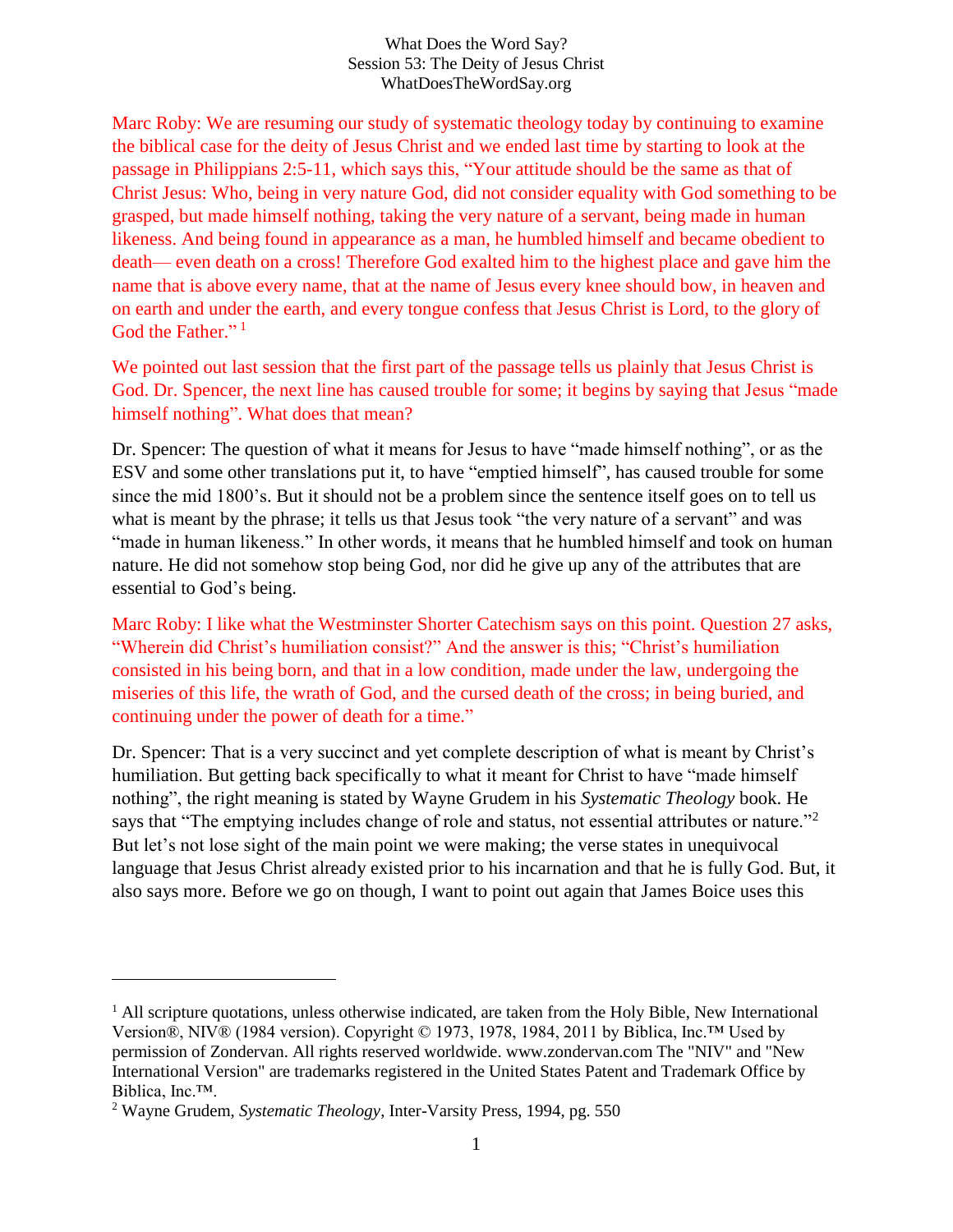#### What Does the Word Say? Session 53: The Deity of Jesus Christ WhatDoesTheWordSay.org

Marc Roby: We are resuming our study of systematic theology today by continuing to examine the biblical case for the deity of Jesus Christ and we ended last time by starting to look at the passage in Philippians 2:5-11, which says this, "Your attitude should be the same as that of Christ Jesus: Who, being in very nature God, did not consider equality with God something to be grasped, but made himself nothing, taking the very nature of a servant, being made in human likeness. And being found in appearance as a man, he humbled himself and became obedient to death— even death on a cross! Therefore God exalted him to the highest place and gave him the name that is above every name, that at the name of Jesus every knee should bow, in heaven and on earth and under the earth, and every tongue confess that Jesus Christ is Lord, to the glory of God the Father."<sup>1</sup>

We pointed out last session that the first part of the passage tells us plainly that Jesus Christ is God. Dr. Spencer, the next line has caused trouble for some; it begins by saying that Jesus "made himself nothing". What does that mean?

Dr. Spencer: The question of what it means for Jesus to have "made himself nothing", or as the ESV and some other translations put it, to have "emptied himself", has caused trouble for some since the mid 1800's. But it should not be a problem since the sentence itself goes on to tell us what is meant by the phrase; it tells us that Jesus took "the very nature of a servant" and was "made in human likeness." In other words, it means that he humbled himself and took on human nature. He did not somehow stop being God, nor did he give up any of the attributes that are essential to God's being.

Marc Roby: I like what the Westminster Shorter Catechism says on this point. Question 27 asks, "Wherein did Christ's humiliation consist?" And the answer is this; "Christ's humiliation consisted in his being born, and that in a low condition, made under the law, undergoing the miseries of this life, the wrath of God, and the cursed death of the cross; in being buried, and continuing under the power of death for a time."

Dr. Spencer: That is a very succinct and yet complete description of what is meant by Christ's humiliation. But getting back specifically to what it meant for Christ to have "made himself nothing", the right meaning is stated by Wayne Grudem in his *Systematic Theology* book. He says that "The emptying includes change of role and status, not essential attributes or nature."<sup>2</sup> But let's not lose sight of the main point we were making; the verse states in unequivocal language that Jesus Christ already existed prior to his incarnation and that he is fully God. But, it also says more. Before we go on though, I want to point out again that James Boice uses this

<sup>&</sup>lt;sup>1</sup> All scripture quotations, unless otherwise indicated, are taken from the Holy Bible, New International Version®, NIV® (1984 version). Copyright © 1973, 1978, 1984, 2011 by Biblica, Inc.™ Used by permission of Zondervan. All rights reserved worldwide. www.zondervan.com The "NIV" and "New International Version" are trademarks registered in the United States Patent and Trademark Office by Biblica, Inc.™.

<sup>2</sup> Wayne Grudem, *Systematic Theology*, Inter-Varsity Press, 1994, pg. 550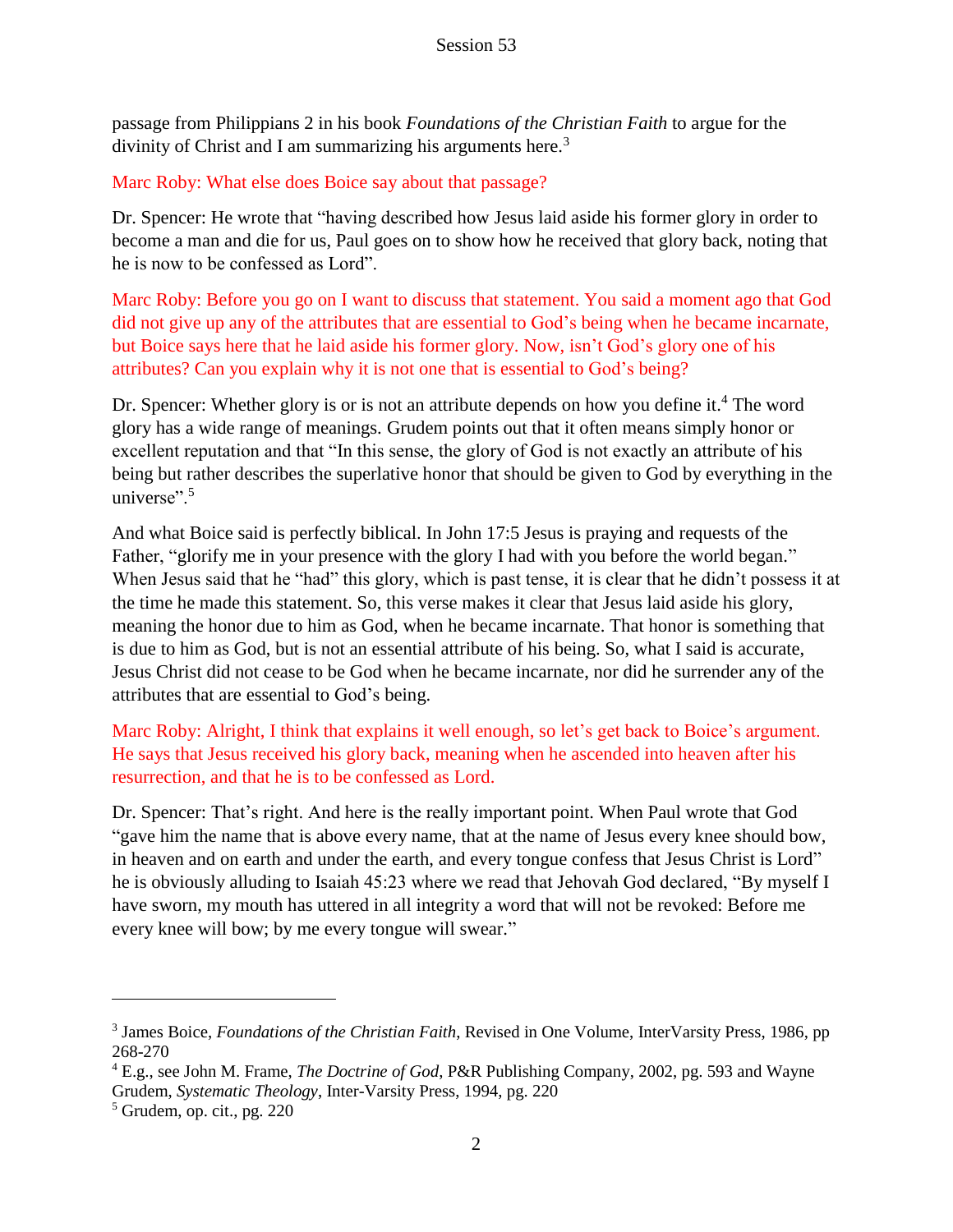passage from Philippians 2 in his book *Foundations of the Christian Faith* to argue for the divinity of Christ and I am summarizing his arguments here.<sup>3</sup>

Marc Roby: What else does Boice say about that passage?

Dr. Spencer: He wrote that "having described how Jesus laid aside his former glory in order to become a man and die for us, Paul goes on to show how he received that glory back, noting that he is now to be confessed as Lord".

Marc Roby: Before you go on I want to discuss that statement. You said a moment ago that God did not give up any of the attributes that are essential to God's being when he became incarnate, but Boice says here that he laid aside his former glory. Now, isn't God's glory one of his attributes? Can you explain why it is not one that is essential to God's being?

Dr. Spencer: Whether glory is or is not an attribute depends on how you define it.<sup>4</sup> The word glory has a wide range of meanings. Grudem points out that it often means simply honor or excellent reputation and that "In this sense, the glory of God is not exactly an attribute of his being but rather describes the superlative honor that should be given to God by everything in the universe". $5$ 

And what Boice said is perfectly biblical. In John 17:5 Jesus is praying and requests of the Father, "glorify me in your presence with the glory I had with you before the world began." When Jesus said that he "had" this glory, which is past tense, it is clear that he didn't possess it at the time he made this statement. So, this verse makes it clear that Jesus laid aside his glory, meaning the honor due to him as God, when he became incarnate. That honor is something that is due to him as God, but is not an essential attribute of his being. So, what I said is accurate, Jesus Christ did not cease to be God when he became incarnate, nor did he surrender any of the attributes that are essential to God's being.

Marc Roby: Alright, I think that explains it well enough, so let's get back to Boice's argument. He says that Jesus received his glory back, meaning when he ascended into heaven after his resurrection, and that he is to be confessed as Lord.

Dr. Spencer: That's right. And here is the really important point. When Paul wrote that God "gave him the name that is above every name, that at the name of Jesus every knee should bow, in heaven and on earth and under the earth, and every tongue confess that Jesus Christ is Lord" he is obviously alluding to Isaiah 45:23 where we read that Jehovah God declared, "By myself I have sworn, my mouth has uttered in all integrity a word that will not be revoked: Before me every knee will bow; by me every tongue will swear."

<sup>3</sup> James Boice, *Foundations of the Christian Faith*, Revised in One Volume, InterVarsity Press, 1986, pp 268-270

<sup>4</sup> E.g., see John M. Frame, *The Doctrine of God*, P&R Publishing Company, 2002, pg. 593 and Wayne Grudem, *Systematic Theology*, Inter-Varsity Press, 1994, pg. 220

 $<sup>5</sup>$  Grudem, op. cit., pg. 220</sup>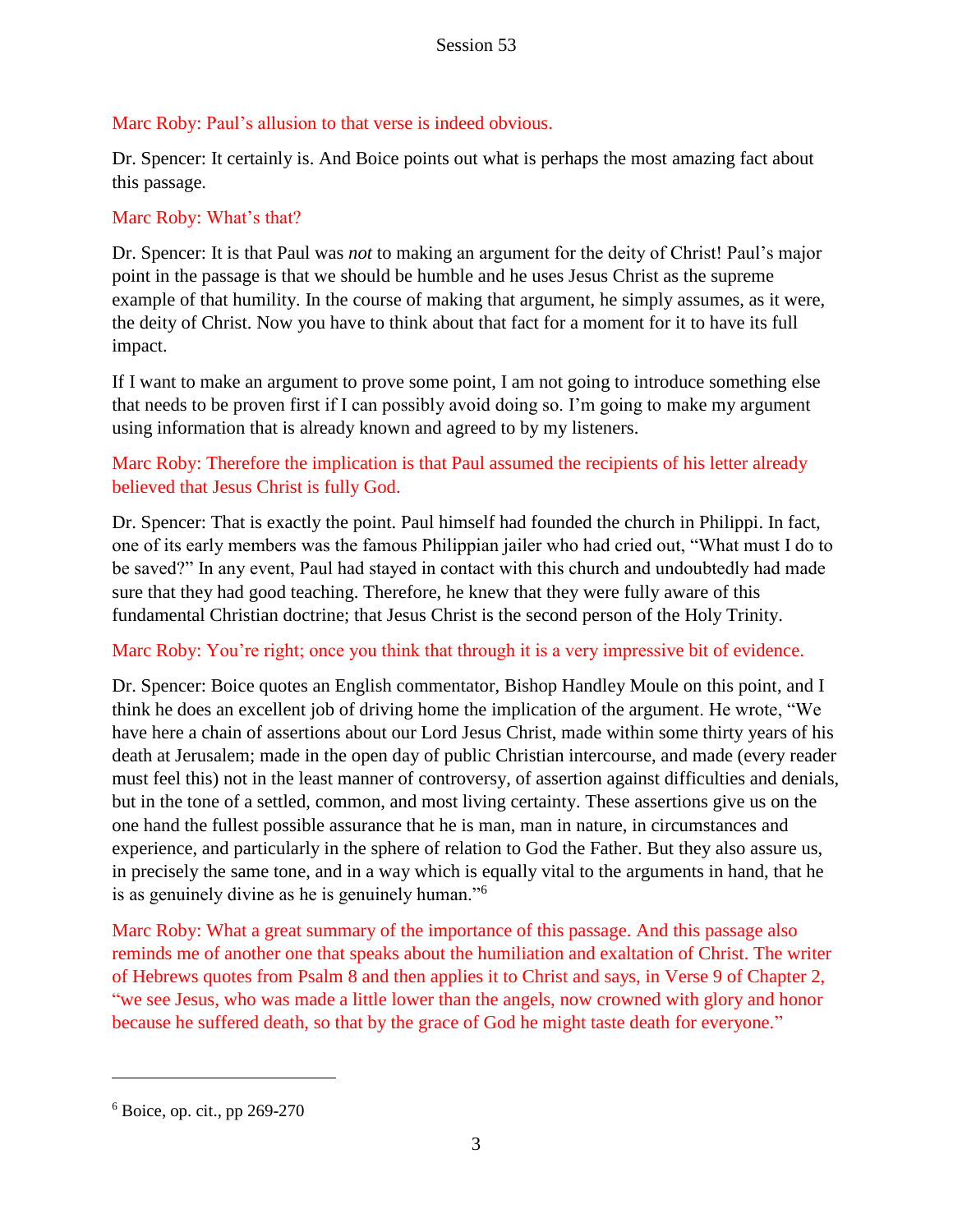# Marc Roby: Paul's allusion to that verse is indeed obvious.

Dr. Spencer: It certainly is. And Boice points out what is perhaps the most amazing fact about this passage.

### Marc Roby: What's that?

Dr. Spencer: It is that Paul was *not* to making an argument for the deity of Christ! Paul's major point in the passage is that we should be humble and he uses Jesus Christ as the supreme example of that humility. In the course of making that argument, he simply assumes, as it were, the deity of Christ. Now you have to think about that fact for a moment for it to have its full impact.

If I want to make an argument to prove some point, I am not going to introduce something else that needs to be proven first if I can possibly avoid doing so. I'm going to make my argument using information that is already known and agreed to by my listeners.

# Marc Roby: Therefore the implication is that Paul assumed the recipients of his letter already believed that Jesus Christ is fully God.

Dr. Spencer: That is exactly the point. Paul himself had founded the church in Philippi. In fact, one of its early members was the famous Philippian jailer who had cried out, "What must I do to be saved?" In any event, Paul had stayed in contact with this church and undoubtedly had made sure that they had good teaching. Therefore, he knew that they were fully aware of this fundamental Christian doctrine; that Jesus Christ is the second person of the Holy Trinity.

### Marc Roby: You're right; once you think that through it is a very impressive bit of evidence.

Dr. Spencer: Boice quotes an English commentator, Bishop Handley Moule on this point, and I think he does an excellent job of driving home the implication of the argument. He wrote, "We have here a chain of assertions about our Lord Jesus Christ, made within some thirty years of his death at Jerusalem; made in the open day of public Christian intercourse, and made (every reader must feel this) not in the least manner of controversy, of assertion against difficulties and denials, but in the tone of a settled, common, and most living certainty. These assertions give us on the one hand the fullest possible assurance that he is man, man in nature, in circumstances and experience, and particularly in the sphere of relation to God the Father. But they also assure us, in precisely the same tone, and in a way which is equally vital to the arguments in hand, that he is as genuinely divine as he is genuinely human."<sup>6</sup>

Marc Roby: What a great summary of the importance of this passage. And this passage also reminds me of another one that speaks about the humiliation and exaltation of Christ. The writer of Hebrews quotes from Psalm 8 and then applies it to Christ and says, in Verse 9 of Chapter 2, "we see Jesus, who was made a little lower than the angels, now crowned with glory and honor because he suffered death, so that by the grace of God he might taste death for everyone."

 $6$  Boice, op. cit., pp 269-270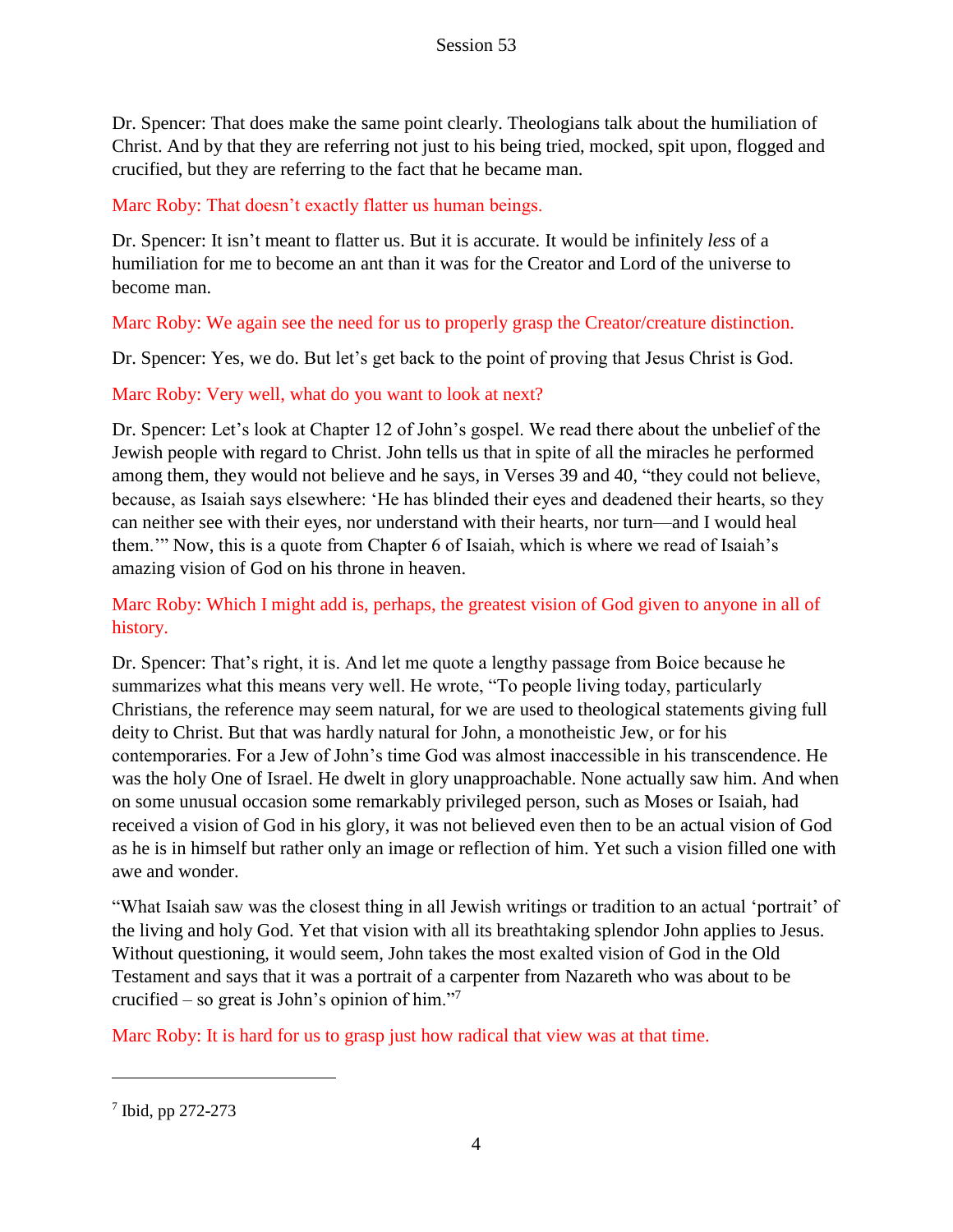Dr. Spencer: That does make the same point clearly. Theologians talk about the humiliation of Christ. And by that they are referring not just to his being tried, mocked, spit upon, flogged and crucified, but they are referring to the fact that he became man.

Marc Roby: That doesn't exactly flatter us human beings.

Dr. Spencer: It isn't meant to flatter us. But it is accurate. It would be infinitely *less* of a humiliation for me to become an ant than it was for the Creator and Lord of the universe to become man.

Marc Roby: We again see the need for us to properly grasp the Creator/creature distinction.

Dr. Spencer: Yes, we do. But let's get back to the point of proving that Jesus Christ is God.

# Marc Roby: Very well, what do you want to look at next?

Dr. Spencer: Let's look at Chapter 12 of John's gospel. We read there about the unbelief of the Jewish people with regard to Christ. John tells us that in spite of all the miracles he performed among them, they would not believe and he says, in Verses 39 and 40, "they could not believe, because, as Isaiah says elsewhere: 'He has blinded their eyes and deadened their hearts, so they can neither see with their eyes, nor understand with their hearts, nor turn—and I would heal them.'" Now, this is a quote from Chapter 6 of Isaiah, which is where we read of Isaiah's amazing vision of God on his throne in heaven.

# Marc Roby: Which I might add is, perhaps, the greatest vision of God given to anyone in all of history.

Dr. Spencer: That's right, it is. And let me quote a lengthy passage from Boice because he summarizes what this means very well. He wrote, "To people living today, particularly Christians, the reference may seem natural, for we are used to theological statements giving full deity to Christ. But that was hardly natural for John, a monotheistic Jew, or for his contemporaries. For a Jew of John's time God was almost inaccessible in his transcendence. He was the holy One of Israel. He dwelt in glory unapproachable. None actually saw him. And when on some unusual occasion some remarkably privileged person, such as Moses or Isaiah, had received a vision of God in his glory, it was not believed even then to be an actual vision of God as he is in himself but rather only an image or reflection of him. Yet such a vision filled one with awe and wonder.

"What Isaiah saw was the closest thing in all Jewish writings or tradition to an actual 'portrait' of the living and holy God. Yet that vision with all its breathtaking splendor John applies to Jesus. Without questioning, it would seem, John takes the most exalted vision of God in the Old Testament and says that it was a portrait of a carpenter from Nazareth who was about to be crucified – so great is John's opinion of him."<sup>7</sup>

Marc Roby: It is hard for us to grasp just how radical that view was at that time.

<sup>7</sup> Ibid, pp 272-273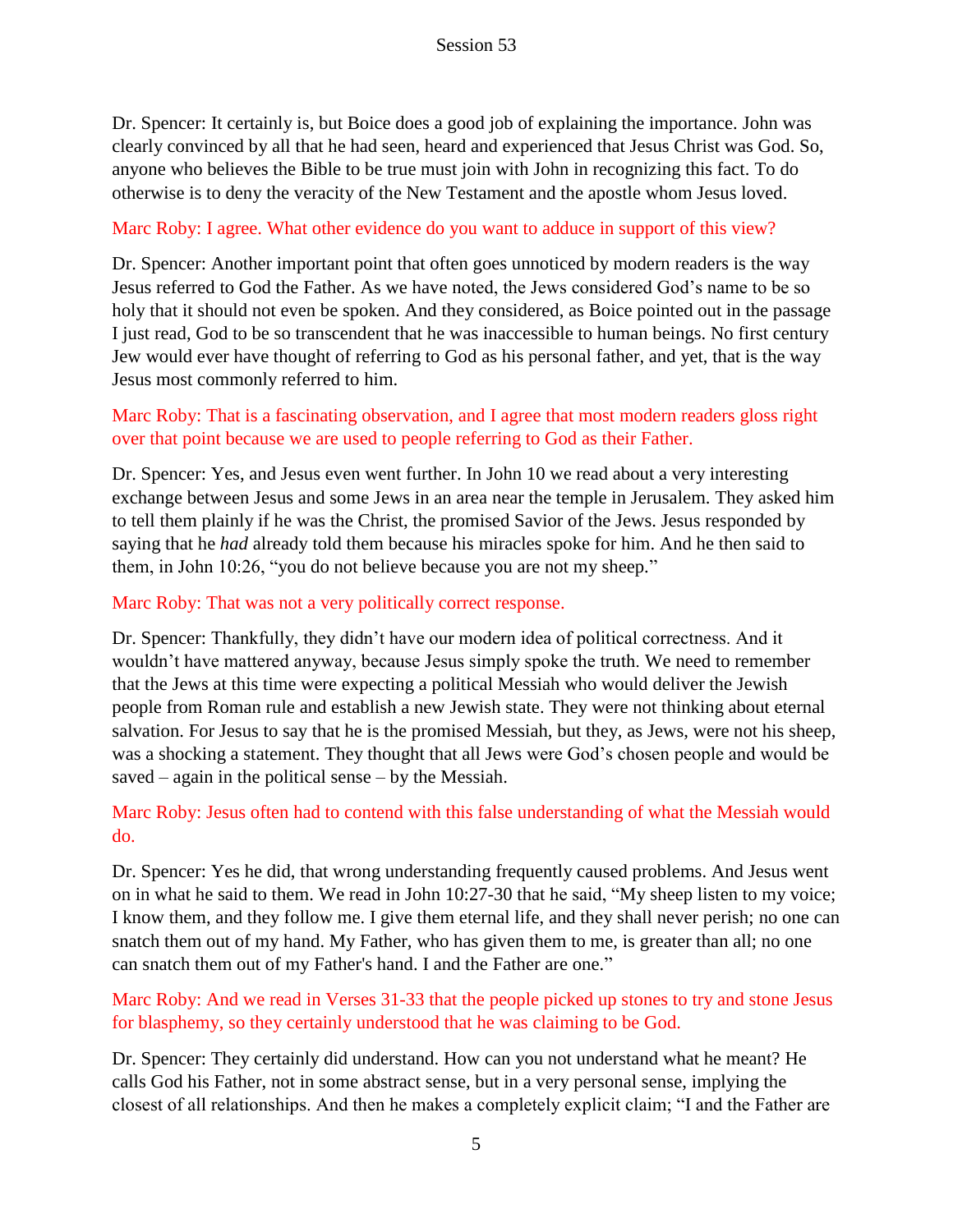Dr. Spencer: It certainly is, but Boice does a good job of explaining the importance. John was clearly convinced by all that he had seen, heard and experienced that Jesus Christ was God. So, anyone who believes the Bible to be true must join with John in recognizing this fact. To do otherwise is to deny the veracity of the New Testament and the apostle whom Jesus loved.

#### Marc Roby: I agree. What other evidence do you want to adduce in support of this view?

Dr. Spencer: Another important point that often goes unnoticed by modern readers is the way Jesus referred to God the Father. As we have noted, the Jews considered God's name to be so holy that it should not even be spoken. And they considered, as Boice pointed out in the passage I just read, God to be so transcendent that he was inaccessible to human beings. No first century Jew would ever have thought of referring to God as his personal father, and yet, that is the way Jesus most commonly referred to him.

### Marc Roby: That is a fascinating observation, and I agree that most modern readers gloss right over that point because we are used to people referring to God as their Father.

Dr. Spencer: Yes, and Jesus even went further. In John 10 we read about a very interesting exchange between Jesus and some Jews in an area near the temple in Jerusalem. They asked him to tell them plainly if he was the Christ, the promised Savior of the Jews. Jesus responded by saying that he *had* already told them because his miracles spoke for him. And he then said to them, in John 10:26, "you do not believe because you are not my sheep."

#### Marc Roby: That was not a very politically correct response.

Dr. Spencer: Thankfully, they didn't have our modern idea of political correctness. And it wouldn't have mattered anyway, because Jesus simply spoke the truth. We need to remember that the Jews at this time were expecting a political Messiah who would deliver the Jewish people from Roman rule and establish a new Jewish state. They were not thinking about eternal salvation. For Jesus to say that he is the promised Messiah, but they, as Jews, were not his sheep, was a shocking a statement. They thought that all Jews were God's chosen people and would be saved – again in the political sense – by the Messiah.

### Marc Roby: Jesus often had to contend with this false understanding of what the Messiah would do.

Dr. Spencer: Yes he did, that wrong understanding frequently caused problems. And Jesus went on in what he said to them. We read in John 10:27-30 that he said, "My sheep listen to my voice; I know them, and they follow me. I give them eternal life, and they shall never perish; no one can snatch them out of my hand. My Father, who has given them to me, is greater than all; no one can snatch them out of my Father's hand. I and the Father are one."

### Marc Roby: And we read in Verses 31-33 that the people picked up stones to try and stone Jesus for blasphemy, so they certainly understood that he was claiming to be God.

Dr. Spencer: They certainly did understand. How can you not understand what he meant? He calls God his Father, not in some abstract sense, but in a very personal sense, implying the closest of all relationships. And then he makes a completely explicit claim; "I and the Father are